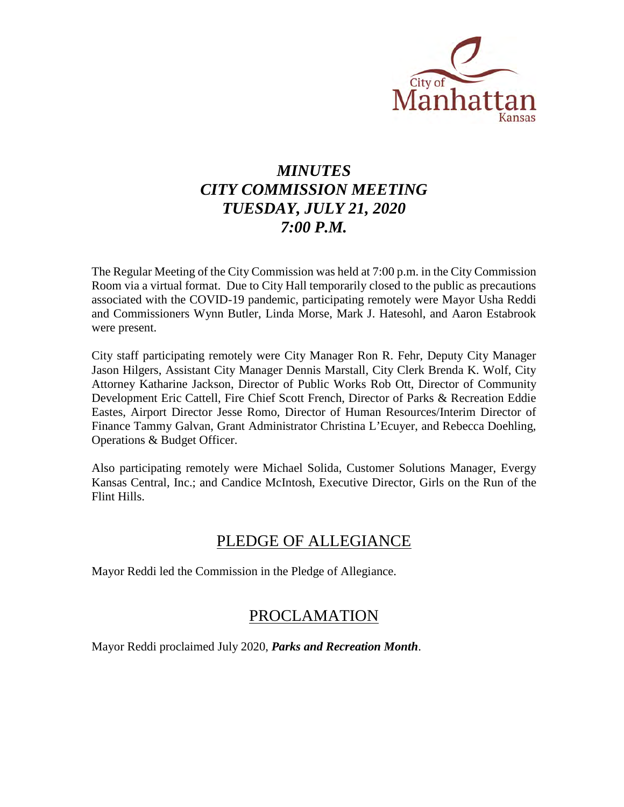

# *MINUTES CITY COMMISSION MEETING TUESDAY, JULY 21, 2020 7:00 P.M.*

The Regular Meeting of the City Commission was held at 7:00 p.m. in the City Commission Room via a virtual format. Due to City Hall temporarily closed to the public as precautions associated with the COVID-19 pandemic, participating remotely were Mayor Usha Reddi and Commissioners Wynn Butler, Linda Morse, Mark J. Hatesohl, and Aaron Estabrook were present.

City staff participating remotely were City Manager Ron R. Fehr, Deputy City Manager Jason Hilgers, Assistant City Manager Dennis Marstall, City Clerk Brenda K. Wolf, City Attorney Katharine Jackson, Director of Public Works Rob Ott, Director of Community Development Eric Cattell, Fire Chief Scott French, Director of Parks & Recreation Eddie Eastes, Airport Director Jesse Romo, Director of Human Resources/Interim Director of Finance Tammy Galvan, Grant Administrator Christina L'Ecuyer, and Rebecca Doehling, Operations & Budget Officer.

Also participating remotely were Michael Solida, Customer Solutions Manager, Evergy Kansas Central, Inc.; and Candice McIntosh, Executive Director, Girls on the Run of the Flint Hills.

# PLEDGE OF ALLEGIANCE

Mayor Reddi led the Commission in the Pledge of Allegiance.

# PROCLAMATION

Mayor Reddi proclaimed July 2020, *Parks and Recreation Month*.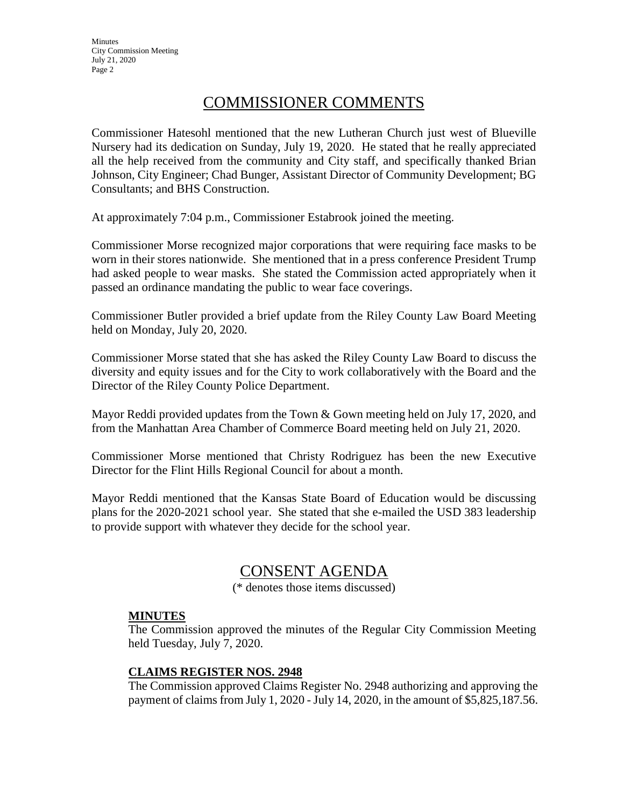# COMMISSIONER COMMENTS

Commissioner Hatesohl mentioned that the new Lutheran Church just west of Blueville Nursery had its dedication on Sunday, July 19, 2020. He stated that he really appreciated all the help received from the community and City staff, and specifically thanked Brian Johnson, City Engineer; Chad Bunger, Assistant Director of Community Development; BG Consultants; and BHS Construction.

At approximately 7:04 p.m., Commissioner Estabrook joined the meeting.

Commissioner Morse recognized major corporations that were requiring face masks to be worn in their stores nationwide. She mentioned that in a press conference President Trump had asked people to wear masks. She stated the Commission acted appropriately when it passed an ordinance mandating the public to wear face coverings.

Commissioner Butler provided a brief update from the Riley County Law Board Meeting held on Monday, July 20, 2020.

Commissioner Morse stated that she has asked the Riley County Law Board to discuss the diversity and equity issues and for the City to work collaboratively with the Board and the Director of the Riley County Police Department.

Mayor Reddi provided updates from the Town & Gown meeting held on July 17, 2020, and from the Manhattan Area Chamber of Commerce Board meeting held on July 21, 2020.

Commissioner Morse mentioned that Christy Rodriguez has been the new Executive Director for the Flint Hills Regional Council for about a month.

Mayor Reddi mentioned that the Kansas State Board of Education would be discussing plans for the 2020-2021 school year. She stated that she e-mailed the USD 383 leadership to provide support with whatever they decide for the school year.

# CONSENT AGENDA

(\* denotes those items discussed)

# **MINUTES**

The Commission approved the minutes of the Regular City Commission Meeting held Tuesday, July 7, 2020.

# **CLAIMS REGISTER NOS. 2948**

The Commission approved Claims Register No. 2948 authorizing and approving the payment of claims from July 1, 2020 - July 14, 2020, in the amount of \$5,825,187.56.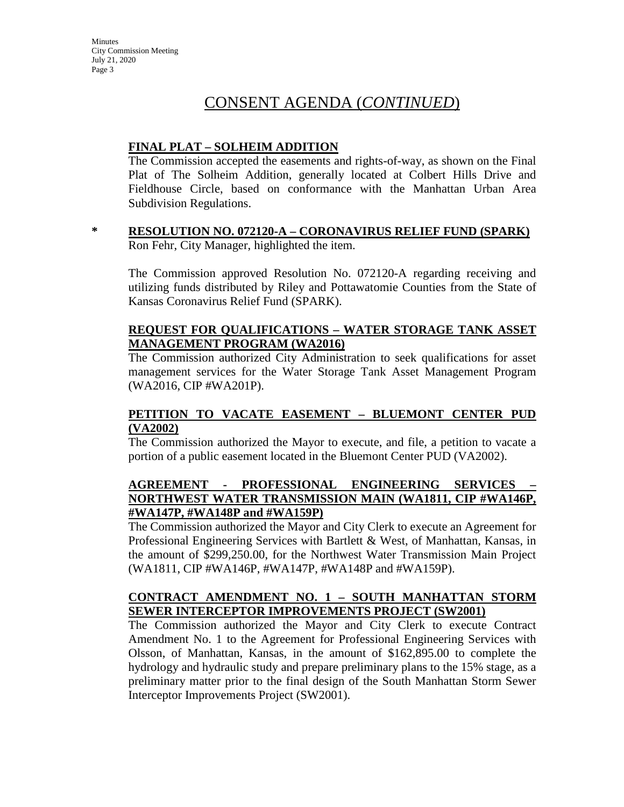# CONSENT AGENDA (*CONTINUED*)

# **FINAL PLAT – SOLHEIM ADDITION**

The Commission accepted the easements and rights-of-way, as shown on the Final Plat of The Solheim Addition, generally located at Colbert Hills Drive and Fieldhouse Circle, based on conformance with the Manhattan Urban Area Subdivision Regulations.

#### **\* RESOLUTION NO. 072120-A – CORONAVIRUS RELIEF FUND (SPARK)** Ron Fehr, City Manager, highlighted the item.

The Commission approved Resolution No. 072120-A regarding receiving and utilizing funds distributed by Riley and Pottawatomie Counties from the State of Kansas Coronavirus Relief Fund (SPARK).

# **REQUEST FOR QUALIFICATIONS – WATER STORAGE TANK ASSET MANAGEMENT PROGRAM (WA2016)**

The Commission authorized City Administration to seek qualifications for asset management services for the Water Storage Tank Asset Management Program (WA2016, CIP #WA201P).

#### **PETITION TO VACATE EASEMENT – BLUEMONT CENTER PUD (VA2002)**

The Commission authorized the Mayor to execute, and file, a petition to vacate a portion of a public easement located in the Bluemont Center PUD (VA2002).

# **AGREEMENT - PROFESSIONAL ENGINEERING SERVICES – NORTHWEST WATER TRANSMISSION MAIN (WA1811, CIP #WA146P, #WA147P, #WA148P and #WA159P)**

The Commission authorized the Mayor and City Clerk to execute an Agreement for Professional Engineering Services with Bartlett & West, of Manhattan, Kansas, in the amount of \$299,250.00, for the Northwest Water Transmission Main Project (WA1811, CIP #WA146P, #WA147P, #WA148P and #WA159P).

# **CONTRACT AMENDMENT NO. 1 – SOUTH MANHATTAN STORM SEWER INTERCEPTOR IMPROVEMENTS PROJECT (SW2001)**

The Commission authorized the Mayor and City Clerk to execute Contract Amendment No. 1 to the Agreement for Professional Engineering Services with Olsson, of Manhattan, Kansas, in the amount of \$162,895.00 to complete the hydrology and hydraulic study and prepare preliminary plans to the 15% stage, as a preliminary matter prior to the final design of the South Manhattan Storm Sewer Interceptor Improvements Project (SW2001).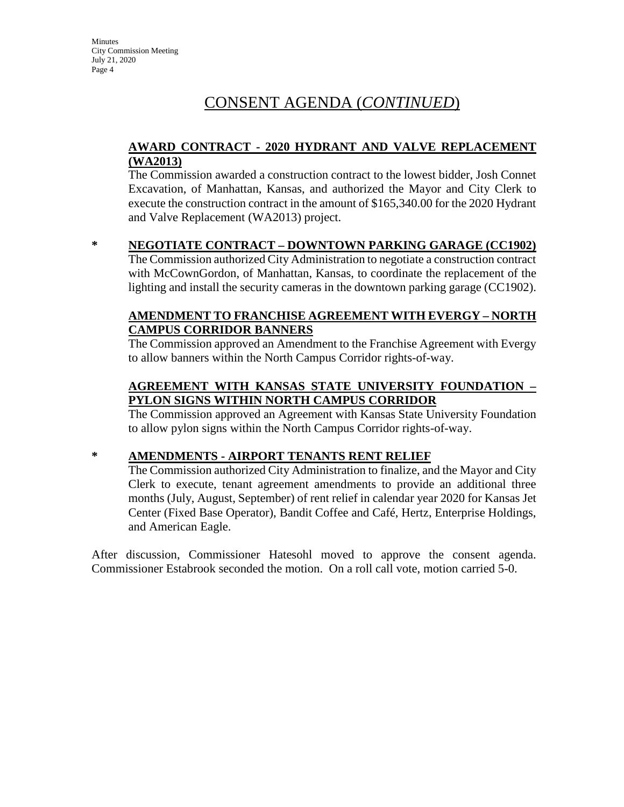# CONSENT AGENDA (*CONTINUED*)

### **AWARD CONTRACT - 2020 HYDRANT AND VALVE REPLACEMENT (WA2013)**

The Commission awarded a construction contract to the lowest bidder, Josh Connet Excavation, of Manhattan, Kansas, and authorized the Mayor and City Clerk to execute the construction contract in the amount of \$165,340.00 for the 2020 Hydrant and Valve Replacement (WA2013) project.

#### **\* NEGOTIATE CONTRACT – DOWNTOWN PARKING GARAGE (CC1902)**

The Commission authorized City Administration to negotiate a construction contract with McCownGordon, of Manhattan, Kansas, to coordinate the replacement of the lighting and install the security cameras in the downtown parking garage (CC1902).

### **AMENDMENT TO FRANCHISE AGREEMENT WITH EVERGY – NORTH CAMPUS CORRIDOR BANNERS**

The Commission approved an Amendment to the Franchise Agreement with Evergy to allow banners within the North Campus Corridor rights-of-way.

# **AGREEMENT WITH KANSAS STATE UNIVERSITY FOUNDATION – PYLON SIGNS WITHIN NORTH CAMPUS CORRIDOR**

The Commission approved an Agreement with Kansas State University Foundation to allow pylon signs within the North Campus Corridor rights-of-way.

# **\* AMENDMENTS - AIRPORT TENANTS RENT RELIEF**

The Commission authorized City Administration to finalize, and the Mayor and City Clerk to execute, tenant agreement amendments to provide an additional three months (July, August, September) of rent relief in calendar year 2020 for Kansas Jet Center (Fixed Base Operator), Bandit Coffee and Café, Hertz, Enterprise Holdings, and American Eagle.

After discussion, Commissioner Hatesohl moved to approve the consent agenda. Commissioner Estabrook seconded the motion. On a roll call vote, motion carried 5-0.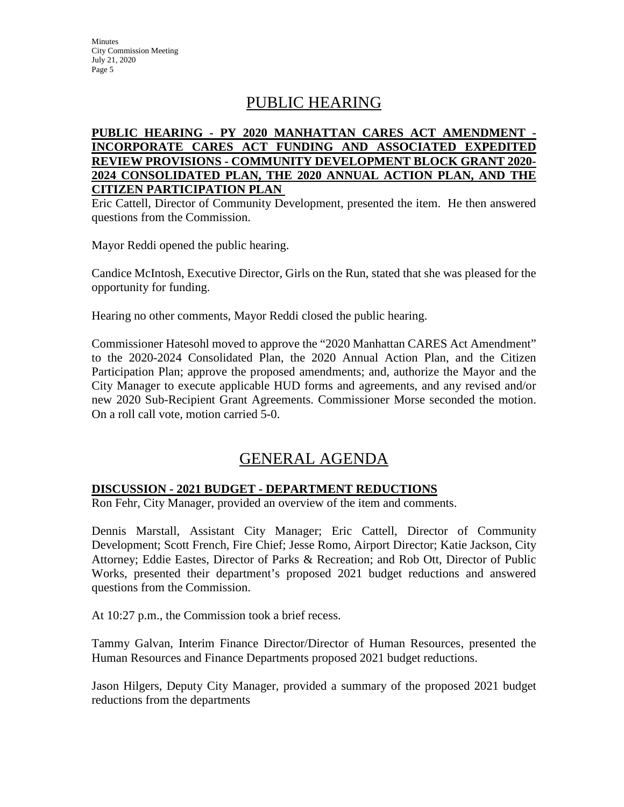# PUBLIC HEARING

# **PUBLIC HEARING - PY 2020 MANHATTAN CARES ACT AMENDMENT - INCORPORATE CARES ACT FUNDING AND ASSOCIATED EXPEDITED REVIEW PROVISIONS - COMMUNITY DEVELOPMENT BLOCK GRANT 2020- 2024 CONSOLIDATED PLAN, THE 2020 ANNUAL ACTION PLAN, AND THE CITIZEN PARTICIPATION PLAN**

Eric Cattell, Director of Community Development, presented the item. He then answered questions from the Commission.

Mayor Reddi opened the public hearing.

Candice McIntosh, Executive Director, Girls on the Run, stated that she was pleased for the opportunity for funding.

Hearing no other comments, Mayor Reddi closed the public hearing.

Commissioner Hatesohl moved to approve the "2020 Manhattan CARES Act Amendment" to the 2020-2024 Consolidated Plan, the 2020 Annual Action Plan, and the Citizen Participation Plan; approve the proposed amendments; and, authorize the Mayor and the City Manager to execute applicable HUD forms and agreements, and any revised and/or new 2020 Sub-Recipient Grant Agreements. Commissioner Morse seconded the motion. On a roll call vote, motion carried 5-0.

# GENERAL AGENDA

# **DISCUSSION - 2021 BUDGET - DEPARTMENT REDUCTIONS**

Ron Fehr, City Manager, provided an overview of the item and comments.

Dennis Marstall, Assistant City Manager; Eric Cattell, Director of Community Development; Scott French, Fire Chief; Jesse Romo, Airport Director; Katie Jackson, City Attorney; Eddie Eastes, Director of Parks & Recreation; and Rob Ott, Director of Public Works, presented their department's proposed 2021 budget reductions and answered questions from the Commission.

At 10:27 p.m., the Commission took a brief recess.

Tammy Galvan, Interim Finance Director/Director of Human Resources, presented the Human Resources and Finance Departments proposed 2021 budget reductions.

Jason Hilgers, Deputy City Manager, provided a summary of the proposed 2021 budget reductions from the departments